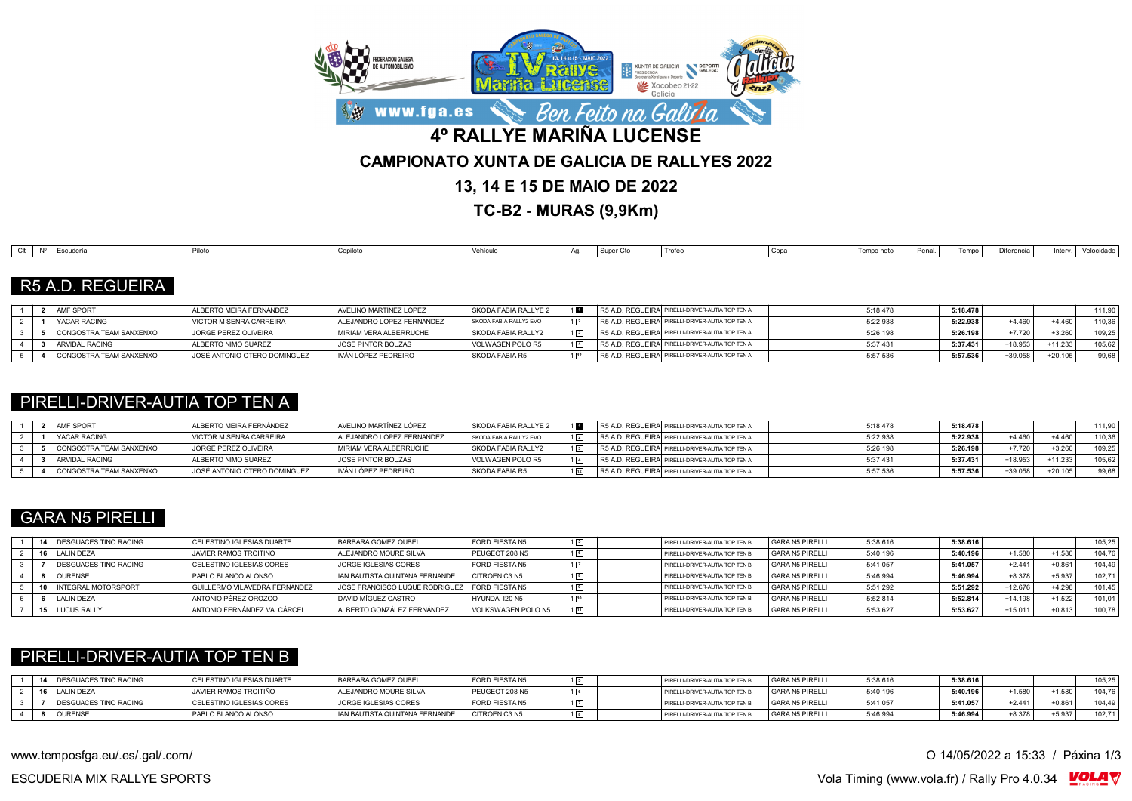

**TC-B2 - MURAS (9,9Km)**

| Difere<br>Piloto<br>Copa<br>Vehículo<br>Escudería<br>Tempo<br>Trofer<br>Tempo neto<br>Penal<br>Inter<br>Conilot<br>I Super<br>$\sim$<br><b>L</b> ocuucii<br>$\sim$ $\sim$ $\sim$<br> |  |  |  |  |  |  |  |            |
|--------------------------------------------------------------------------------------------------------------------------------------------------------------------------------------|--|--|--|--|--|--|--|------------|
|                                                                                                                                                                                      |  |  |  |  |  |  |  | Velocidade |

## R5 A.D. REGUEIRA

|  | <b>AMF SPORT</b>        | ALBERTO MEIRA FERNÁNDEZ      | AVELINO MARTÍNEZ LÓPEZ    | SKODA FABIA RALLYE 2   |  | R5 A.D. REGUEIRA PIRELLI-DRIVER-AUTIA TOP TEN A  | 5:18.478 | $5:18.478$ . |           |           | 111.90 |
|--|-------------------------|------------------------------|---------------------------|------------------------|--|--------------------------------------------------|----------|--------------|-----------|-----------|--------|
|  | I YACAR RACING          | VICTOR M SENRA CARREIRA      | ALEJANDRO LOPEZ FERNANDEZ | SKODA FABIA RALLY2 EVO |  | R5 A.D. REGUEIRA PIRELLI-DRIVER-AUTIA TOP TEN A  | 5:22.938 | 5:22.938     | $+4.460$  | $+4.460$  | 110.36 |
|  | CONGOSTRA TEAM SANXENXO | JORGE PEREZ OLIVEIRA         | MIRIAM VERA ALBERRUCHE    | SKODA FABIA RALLY2     |  | R5 A.D. REGUEIRAI PIRELLI-DRIVER-AUTIA TOP TEN A | 5:26.198 | 5:26.198     | $+7.720$  | $+3.260$  | 109.25 |
|  | ARVIDAL RACING          | ALBERTO NIMO SUAREZ          | JOSE PINTOR BOUZAS        | VOLWAGEN POLO R5       |  | R5 A.D. REGUEIRAI PIRELLI-DRIVER-AUTIA TOP TEN A | 5:37.431 | 5:37.431     | $+18.953$ | $+11.233$ | 105.62 |
|  | CONGOSTRA TEAM SANXENXO | JOSÉ ANTONIO OTERO DOMINGUEZ | IVÁN LÓPEZ PEDREIRO       | SKODA FABIA R5         |  | R5 A.D. REGUEIRA PIRELLI-DRIVER-AUTIA TOP TEN A  | 5:57.536 | 5:57.536     | $+39.058$ | $+20.105$ | 99,68  |

#### PIRELLI-DRIVER-AUTIA TOP TEN A

|  | <b>AMF SPORT</b>        | ALBERTO MEIRA FERNÁNDEZ      | AVELINO MARTÍNEZ LÓPEZ    | SKODA FABIA RALLYE 2   |             | R5 A.D. REGUEIRA PIRELLI-DRIVER-AUTIA TOP TEN A  | 5:18.478 | 5:18.478 |           |           | 111.90 |
|--|-------------------------|------------------------------|---------------------------|------------------------|-------------|--------------------------------------------------|----------|----------|-----------|-----------|--------|
|  | <b>I YACAR RACING</b>   | VICTOR M SENRA CARREIRA      | ALEJANDRO LOPEZ FERNANDEZ | SKODA FABIA RALLY2 EVO | $1\sqrt{2}$ | R5 A.D. REGUEIRAI PIRELLI-DRIVER-AUTIA TOP TEN A | 5:22.938 | 5:22.938 | $+4.460$  | +4.460    | 110.36 |
|  | CONGOSTRA TEAM SANXENXO | JORGE PEREZ OLIVEIRA         | MIRIAM VERA ALBERRUCHE    | SKODA FABIA RALLY2     | $1\sqrt{3}$ | R5 A.D. REGUEIRA PIRELLI-DRIVER-AUTIA TOP TEN A  | 5:26.198 | 5:26.198 | $+7.720$  | $+3.260$  | 109.25 |
|  | ARVIDAL RACING          | ALBERTO NIMO SUAREZ          | JOSE PINTOR BOUZAS        | VOLWAGEN POLO R5       | $1\sqrt{4}$ | R5 A.D. REGUEIRA PIRELLI-DRIVER-AUTIA TOP TEN A  | 5:37.431 | 5:37.431 | $+18.953$ | $+11.233$ | 105,62 |
|  | CONGOSTRA TEAM SANXENXO | JOSÉ ANTONIO OTERO DOMINGUEZ | IVÁN LÓPEZ PEDREIRO       | l SKODA FABIA R5       |             | R5 A.D. REGUEIRA PIRELLI-DRIVER-AUTIA TOP TEN A  | 5:57.53  | 5:57.536 | $+39.058$ | $+20.105$ | 99.68  |

## GARA N5 PIRELLI

|  | 14 DESGUACES TINO RACING       | CELESTINO IGLESIAS DUARTE     | BARBARA GOMEZ OUBEL            | FORD FIESTA N5     | $1\sqrt{5}$     | PIRELLI-DRIVER-AUTIA TOP TEN B | GARA N5 PIRELLI | 5:38.616 | 5:38.616 |           |          | 105.25 |
|--|--------------------------------|-------------------------------|--------------------------------|--------------------|-----------------|--------------------------------|-----------------|----------|----------|-----------|----------|--------|
|  | <b>ILALIN DEZA</b>             | JAVIER RAMOS TROITIÑO         | ALEJANDRO MOURE SILVA          | PEUGEOT 208 N5     | 16              | PIRELLI-DRIVER-AUTIA TOP TEN B | GARA N5 PIRELLI | 5:40.196 | 5:40.196 | $+1.580$  | $+1.580$ | 104.76 |
|  | <b>I DESGUACES TINO RACING</b> | CELESTINO IGLESIAS CORES      | JORGE IGLESIAS CORES           | FORD FIESTA N5     | $1\overline{7}$ | PIRELLI-DRIVER-AUTIA TOP TEN B | GARA N5 PIRELLI | 5:41.057 | 5:41.057 | $+2.441$  | $+0.86$  | 104.49 |
|  | <b>OURENSE</b>                 | PABLO BLANCO ALONSO           | IAN BAUTISTA QUINTANA FERNANDE | CITROEN C3 N5      | $1\sqrt{8}$     | PIRELLI-DRIVER-AUTIA TOP TEN B | GARA N5 PIRELLI | 5:46.994 | 5:46.994 | $+8.378$  | $+5.937$ | 102.71 |
|  | 10 INTEGRAL MOTORSPORT         | GUILLERMO VILAVEDRA FERNANDEZ | JOSE FRANCISCO LUQUE RODRIGUEZ | FORD FIESTA N5     |                 | PIRELLI-DRIVER-AUTIA TOP TEN B | GARA N5 PIRELLI | 5:51.292 | 5:51.292 | +12.676   | $+4.298$ | 101.45 |
|  | LALIN DEZA                     | ANTONIO PÉREZ OROZCO          | DAVID MÍGUEZ CASTRO            | HYUNDAI I20 N5     | 10              | PIRELLI-DRIVER-AUTIA TOP TEN B | GARA N5 PIRELLI | 5:52.814 | 5:52.814 | $+14.198$ | $+1.522$ | 101.01 |
|  | 15 LUCUS RALLY                 | ANTONIO FERNÁNDEZ VALCÁRCEL   | ALBERTO GONZÁLEZ FERNÁNDEZ     | VOLKSWAGEN POLO N5 | 11              | PIRELLI-DRIVER-AUTIA TOP TEN B | GARA N5 PIRELLI | 5:53.627 | 5:53.627 | $+15.011$ | $+0.813$ | 100.78 |

#### PIRELLI-DRIVER-AUTIA TOP TEN B

|  | 14 DESGUACES TINO RACING | CELESTINO IGLESIAS DUARTE | BARBARA GOMEZ OUBEL            | FORD FIESTA N5 |  | PIRELLI-DRIVER-AUTIA TOP TEN B | GARA N5 PIRELLI | 5:38.616 | 5:38.616 |          |          | 105.25 |
|--|--------------------------|---------------------------|--------------------------------|----------------|--|--------------------------------|-----------------|----------|----------|----------|----------|--------|
|  | 16 LALIN DEZA            | JAVIER RAMOS TROITIÑO     | ALEJANDRO MOURE SILVA          | PEUGEOT 208 N5 |  | PIRELLI-DRIVER-AUTIA TOP TEN B | GARA N5 PIRELLI | 5:40.196 | 5:40.196 | $+1.580$ | $+1.580$ | 104.7c |
|  | DESGUACES TINO RACING    | CELESTINO IGLESIAS CORES  | JORGE IGLESIAS CORES           | FORD FIESTA N5 |  | PIRELLI-DRIVER-AUTIA TOP TEN B | GARA N5 PIRELLI | 5:41.057 | 5:41.057 | +2.441   | $+0.861$ | 104.49 |
|  | <b>OURENSE</b>           | PABLO BLANCO ALONSO       | IAN BAUTISTA QUINTANA FERNANDE | CITROEN C3 N5  |  | PIRELLI-DRIVER-AUTIA TOP TEN B | GARA N5 PIRELLI | 5:46.99  | 5:46.994 | $+8.378$ | $+5.937$ | 102.71 |

www.temposfga.eu/.es/.gal/.com/ **O 14/05/2022** a 15:33 / Páxina 1/3

VolaSoftControlPdf ESCUDERIA MIX RALLYE SPORTS Vola Timing (www.vola.fr) / Rally Pro 4.0.34

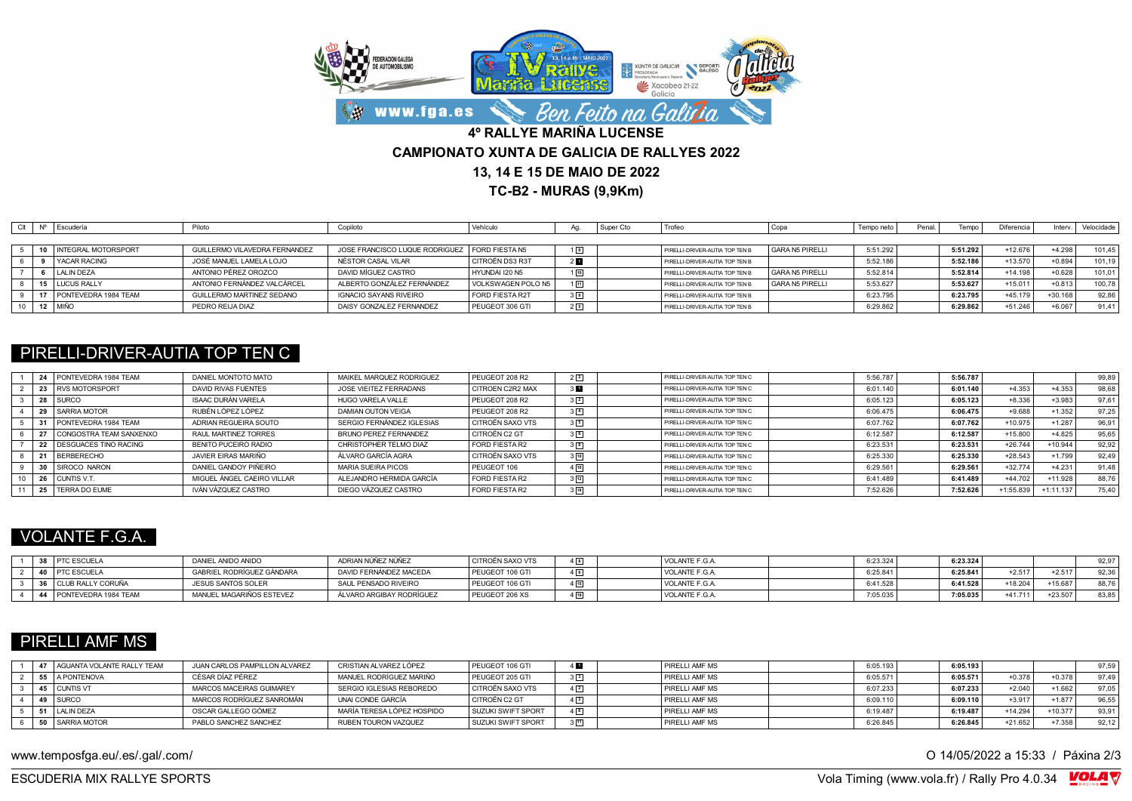

**TC-B2 - MURAS (9,9Km)**

|  | <b>Escudería</b>        | Piloto                        | Copiloto                       | Vehículo           |                | Super Cto | Trofeo                         | Copa            | Tempo neto | Penal | lempo    | Diferencia | Interv.   | Velocidade |
|--|-------------------------|-------------------------------|--------------------------------|--------------------|----------------|-----------|--------------------------------|-----------------|------------|-------|----------|------------|-----------|------------|
|  |                         |                               |                                |                    |                |           |                                |                 |            |       |          |            |           |            |
|  | 10 INTEGRAL MOTORSPORT  | GUILLERMO VILAVEDRA FERNANDEZ | JOSE FRANCISCO LUQUE RODRIGUEZ | FORD FIFSTA N5     | $1\sqrt{9}$    |           | PIRELLI-DRIVER-AUTIA TOP TEN B | GARA N5 PIRELLI | 5:51.292   |       | 5:51.292 | +12.676    | $+4.298$  | 101.45     |
|  | <b>YACAR RACING</b>     | JOSÉ MANUEL LAMELA LOJO       | NÉSTOR CASAL VILAR             | CITROËN DS3 R3T    | 2 <sub>h</sub> |           | PIRELLI-DRIVER-AUTIA TOP TEN B |                 | 5:52.186   |       | 5:52.186 | $+13.570$  | $+0.894$  | 101.19     |
|  | LALIN DEZA              | ANTONIO PÉREZ OROZCO          | DAVID MÍGUEZ CASTRO            | HYUNDAI I20 N5     | 10             |           | PIRELLI-DRIVER-AUTIA TOP TEN B | GARA N5 PIRELLI | 5:52.814   |       | 5:52.814 | $+14.198$  | $+0.628$  | 101,01     |
|  | 15 LUCUS RALLY          | ANTONIO FERNÁNDEZ VALCÁRCEL   | ALBERTO GONZÁLEZ FERNÁNDEZ     | VOLKSWAGEN POLO N5 | $\sqrt{11}$    |           | PIRELLI-DRIVER-AUTIA TOP TEN B | GARA N5 PIRELLI | 5:53.627   |       | 5:53.627 | $+15.011$  | $+0.813$  | 100,78     |
|  | 17 PONTEVEDRA 1984 TEAM | GUILLERMO MARTINEZ SEDANO     | <b>IGNACIO SAYANS RIVEIRO</b>  | FORD FIESTA R2T    | 3 <sup>9</sup> |           | PIRELLI-DRIVER-AUTIA TOP TEN B |                 | 6:23.795   |       | 6:23.795 | $+45.179$  | $+30.168$ | 92.86      |
|  | 12 MIÑO                 | PEDRO REIJA DIAZ              | DAISY GONZALEZ FERNANDEZ       | PEUGEOT 306 GTI    | 25             |           | PIRELLI-DRIVER-AUTIA TOP TEN B |                 | 6:29.862   |       | 6:29.862 | $+51.246$  | $+6.067$  | 91.41      |

### PIRELLI-DRIVER-AUTIA TOP TEN C

|  | 24 PONTEVEDRA 1984 TEAM    | DANIEL MONTOTO MATO        | MAIKEL MARQUEZ RODRIGUEZ  | PEUGEOT 208 R2          | $2\sqrt{2}$      | PIRELLI-DRIVER-AUTIA TOP TEN C | 5:56.787 | 5:56.787 |           |             | 99,89 |
|--|----------------------------|----------------------------|---------------------------|-------------------------|------------------|--------------------------------|----------|----------|-----------|-------------|-------|
|  | 23 RVS MOTORSPORT          | DAVID RIVAS FUENTES        | JOSE VIEITEZ FERRADANS    | <b>CITROEN C2R2 MAX</b> |                  | PIRELLI-DRIVER-AUTIA TOP TEN C | 6:01.140 | 6:01.140 | $+4.353$  | $+4.353$    | 98.68 |
|  | 28 SURCO                   | ISAAC DURÁN VARELA         | HUGO VARELA VALLE         | PEUGEOT 208 R2          | $3\sqrt{2}$      | PIRELLI-DRIVER-AUTIA TOP TEN C | 6:05.123 | 6:05.123 | $+8.336$  | $+3.983$    | 97.61 |
|  | 29 SARRIA MOTOR            | RUBÉN LÓPEZ LÓPEZ          | DAMIAN OUTON VEIGA        | PEUGEOT 208 R2          | $3\sqrt{4}$      | PIRELLI-DRIVER-AUTIA TOP TEN C | 6:06.475 | 6:06.475 | $+9.688$  | $+1.352$    | 97.25 |
|  | 31 PONTEVEDRA 1984 TEAM    | ADRIAN REGUEIRA SOUTO      | SERGIO FERNÁNDEZ IGLESIAS | CITROËN SAXO VTS        | 35               | PIRELLI-DRIVER-AUTIA TOP TEN C | 6:07.762 | 6:07.762 | $+10.975$ | $+1.287$    | 96,91 |
|  | 27 CONGOSTRA TEAM SANXENXO | RAUL MARTINEZ TORRES       | BRUNO PEREZ FERNANDEZ     | CITROËN C2 GT           | 36               | PIRELLI-DRIVER-AUTIA TOP TEN C | 6:12.587 | 6:12.587 | $+15.800$ | $+4.825$    | 95.65 |
|  | 22 DESGUACES TINO RACING   | BENITO PUCEIRO RADIO       | CHRISTOPHER TELMO DIAZ    | <b>FORD FIESTA R2</b>   | 3 <sup>[8]</sup> | PIRELLI-DRIVER-AUTIA TOP TEN C | 6:23.531 | 6:23.531 | $+26.744$ | $+10.944$   | 92,92 |
|  | 21 BERBERECHO              | JAVIER FIRAS MARIÑO        | ÁLVARO GARCÍA AGRA        | CITROËN SAXO VTS        | $3 \, 10$        | PIRELLI-DRIVER-AUTIA TOP TEN C | 6:25.330 | 6:25.330 | $+28.543$ | $+1.799$    | 92,49 |
|  | 30 SIROCO NARON            | DANIEL GANDOY PIÑEIRO      | MARIA SUEIRA PICOS        | PEUGEOT 106             | $4\sqrt{10}$     | PIRELLI-DRIVER-AUTIA TOP TEN C | 6:29.561 | 6:29.561 | $+32.774$ | $+4.231$    | 91,48 |
|  | 26 CUNTIS V.T.             | MIGUEL ÁNGEL CAEIRO VILLAR | ALEJANDRO HERMIDA GARCÍA  | FORD FIESTA R2          | $3\sqrt{12}$     | PIRELLI-DRIVER-AUTIA TOP TEN C | 6:41.489 | 6:41.489 | $+44.702$ | $+11.928$   | 88,76 |
|  | 25   TERRA DO EUME         | IVÁN VÁZQUEZ CASTRO        | DIEGO VÁZQUEZ CASTRO      | <b>FORD FIESTA R2</b>   | $18$             | PIRELLI-DRIVER-AUTIA TOP TEN C | 7:52.626 | 7:52.626 | +1:55.839 | $+1:11.137$ | 75,40 |

# VOLANTE F.G.A.

|  | 38 <b>PTC ESCUELA</b>   | DANIEL ANIDO ANIDO        | ADRIAN NÚÑEZ NÚÑEZ       | CITROËN SAXO VTS | $4\sqrt{8}$ | VOLANTE F.G.A. | 6:23.324 | 6:23.324 |           |           | 92.97 |
|--|-------------------------|---------------------------|--------------------------|------------------|-------------|----------------|----------|----------|-----------|-----------|-------|
|  | PTC ESCUELA             | GABRIEL RODRÍGUEZ GÀNDARA | DAVID FERNÁNDEZ MACEDA   | PEUGEOT 106 GTI  | $1\sqrt{9}$ | VOLANTE F.G.A. | 6:25.84  | 6:25.841 | $+2.517$  | $+2.517$  | 92.36 |
|  | 36 CLUB RALLY CORUÑA    | JESUS SANTOS SOLER        | SAUL PENSADO RIVEIRO     | PEUGEOT 106 GTI  |             | VOLANTE F.G.A. | 6:41.52  | 6:41.528 | +18.204   | 15.687    |       |
|  | 44 PONTEVEDRA 1984 TEAM | MANUEL MAGARIÑOS ESTEVEZ  | ÁLVARO ARGIBAY RODRÍGUEZ | PEUGEOT 206 XS   |             | VOLANTE F.G.A  | 7:05.03  | 7:05.035 | $+41.711$ | $+23.507$ |       |

#### PIRELLI AMF MS

|  | 47 LAGUANTA VOLANTE RALLY TEAM | JUAN CARLOS PAMPILLON ALVAREZ | CRISTIAN ALVAREZ LÓPEZ     | PEUGEOT 106 GTI           | 4 M            | <b>PIRELLI AMF MS</b> | 6:05.193 | 6:05.193 |           |           | 97.59 |
|--|--------------------------------|-------------------------------|----------------------------|---------------------------|----------------|-----------------------|----------|----------|-----------|-----------|-------|
|  | 55 A PONTENOVA                 | CÉSAR DÍAZ PÉREZ              | MANUEL RODRÍGUEZ MARIÑO    | PEUGEOT 205 GTI           | 3 <sup>3</sup> | <b>PIRELLI AMF MS</b> | 6:05.571 | 6:05.571 | $+0.378$  | $+0.378$  | 97.49 |
|  | 45 CUNTIS VT                   | MARCOS MACEIRAS GUIMAREY      | SERGIO IGLESIAS REBOREDO   | I CITROËN SAXO VTS        | $4\sqrt{2}$    | <b>PIRELLI AMF MS</b> | 6:07.233 | 6:07.233 | $+2.040$  | $+1.662$  | 97.05 |
|  | 49 SURCO                       | MARCOS RODRÍGUEZ SANROMÁN     | UNAI CONDE GARCÍA          | CITROËN C2 GT             |                | <b>PIRELLI AMF MS</b> | 6:09.110 | 6:09.110 | $+3.917$  | $+1.877$  | 96.55 |
|  | 51 LALIN DEZA                  | OSCAR GALLEGO GÓMEZ           | MARÍA TERESA LÓPEZ HOSPIDO | <b>SUZUKI SWIFT SPORT</b> | 46             | <b>PIRELLI AMF MS</b> | 6:19.48  | 6:19.487 | +14.294   | $+10.377$ | 93.91 |
|  | 50 SARRIA MOTOR                | PABLO SANCHEZ SANCHEZ         | RUBEN TOURON VAZQUEZ       | SUZUKI SWIFT SPORT        | 311            | PIRELLI AMF MS        | 6:26.845 | 6:26.845 | $+21.652$ | $+7.358$  | 92.12 |

www.temposfga.eu/.es/.gal/.com/ **O 14/05/2022** a 15:33 / Páxina 2/3